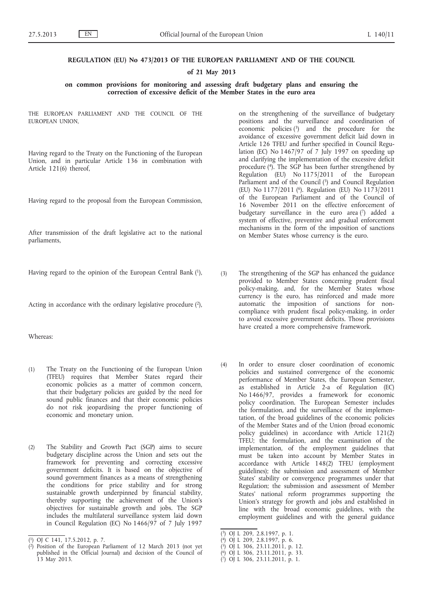## **REGULATION (EU) No 473/2013 OF THE EUROPEAN PARLIAMENT AND OF THE COUNCIL**

#### **of 21 May 2013**

**on common provisions for monitoring and assessing draft budgetary plans and ensuring the correction of excessive deficit of the Member States in the euro area**

THE EUROPEAN PARLIAMENT AND THE COUNCIL OF THE EUROPEAN UNION,

Having regard to the Treaty on the Functioning of the European Union, and in particular Article 136 in combination with Article 121(6) thereof,

Having regard to the proposal from the European Commission,

After transmission of the draft legislative act to the national parliaments,

Having regard to the opinion of the European Central Bank (1),

Acting in accordance with the ordinary legislative procedure (2),

# Whereas:

- (1) The Treaty on the Functioning of the European Union (TFEU) requires that Member States regard their economic policies as a matter of common concern, that their budgetary policies are guided by the need for sound public finances and that their economic policies do not risk jeopardising the proper functioning of economic and monetary union.
- (2) The Stability and Growth Pact (SGP) aims to secure budgetary discipline across the Union and sets out the framework for preventing and correcting excessive government deficits. It is based on the objective of sound government finances as a means of strengthening the conditions for price stability and for strong sustainable growth underpinned by financial stability, thereby supporting the achievement of the Union's objectives for sustainable growth and jobs. The SGP includes the multilateral surveillance system laid down in Council Regulation (EC) No 1466/97 of 7 July 1997

on the strengthening of the surveillance of budgetary positions and the surveillance and coordination of economic policies  $(3)$  and the procedure for the avoidance of excessive government deficit laid down in Article 126 TFEU and further specified in Council Regulation (EC) No  $1467/97$  of 7 July 1997 on speeding up and clarifying the implementation of the excessive deficit procedure (4). The SGP has been further strengthened by Regulation (EU) No 1175/2011 of the European Parliament and of the Council  $(5)$  and Council Regulation (EU) No 1177/2011 (6). Regulation (EU) No 1173/2011 of the European Parliament and of the Council of 16 November 2011 on the effective enforcement of budgetary surveillance in the euro area  $(7)$  added a system of effective, preventive and gradual enforcement mechanisms in the form of the imposition of sanctions on Member States whose currency is the euro.

- (3) The strengthening of the SGP has enhanced the guidance provided to Member States concerning prudent fiscal policy-making, and, for the Member States whose currency is the euro, has reinforced and made more automatic the imposition of sanctions for noncompliance with prudent fiscal policy-making, in order to avoid excessive government deficits. Those provisions have created a more comprehensive framework.
- (4) In order to ensure closer coordination of economic policies and sustained convergence of the economic performance of Member States, the European Semester, as established in Article 2-a of Regulation (EC) No 1466/97, provides a framework for economic policy coordination. The European Semester includes the formulation, and the surveillance of the implementation, of the broad guidelines of the economic policies of the Member States and of the Union (broad economic policy guidelines) in accordance with Article 121(2) TFEU; the formulation, and the examination of the implementation, of the employment guidelines that must be taken into account by Member States in accordance with Article 148(2) TFEU (employment guidelines); the submission and assessment of Member States' stability or convergence programmes under that Regulation; the submission and assessment of Member States' national reform programmes supporting the Union's strategy for growth and jobs and established in line with the broad economic guidelines, with the employment guidelines and with the general guidance

- ( 4) OJ L 209, 2.8.1997, p. 6.
- ( 5) OJ L 306, 23.11.2011, p. 12.
- ( 6) OJ L 306, 23.11.2011, p. 33.
- ( 7) OJ L 306, 23.11.2011, p. 1.

<sup>(</sup> 1) OJ C 141, 17.5.2012, p. 7.

<sup>(</sup> Position of the European Parliament of 12 March 2013 (not yet published in the Official Journal) and decision of the Council of 13 May 2013.

<sup>(</sup> 3) OJ L 209, 2.8.1997, p. 1.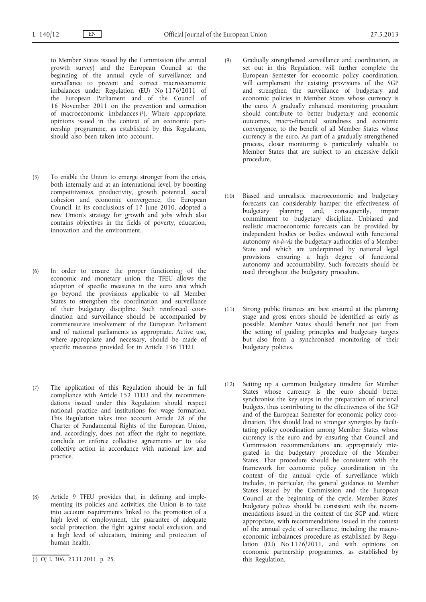to Member States issued by the Commission (the annual growth survey) and the European Council at the beginning of the annual cycle of surveillance; and surveillance to prevent and correct macroeconomic imbalances under Regulation (EU) No 1176/2011 of the European Parliament and of the Council of 16 November 2011 on the prevention and correction of macroeconomic imbalances (1). Where appropriate, opinions issued in the context of an economic partnership programme, as established by this Regulation, should also been taken into account.

- (5) To enable the Union to emerge stronger from the crisis, both internally and at an international level, by boosting competitiveness, productivity, growth potential, social cohesion and economic convergence, the European Council, in its conclusions of 17 June 2010, adopted a new Union's strategy for growth and jobs which also contains objectives in the fields of poverty, education, innovation and the environment.
- (6) In order to ensure the proper functioning of the economic and monetary union, the TFEU allows the adoption of specific measures in the euro area which go beyond the provisions applicable to all Member States to strengthen the coordination and surveillance of their budgetary discipline. Such reinforced coordination and surveillance should be accompanied by commensurate involvement of the European Parliament and of national parliaments as appropriate. Active use, where appropriate and necessary, should be made of specific measures provided for in Article 136 TFEU.
- (7) The application of this Regulation should be in full compliance with Article 152 TFEU and the recommendations issued under this Regulation should respect national practice and institutions for wage formation. This Regulation takes into account Article 28 of the Charter of Fundamental Rights of the European Union, and, accordingly, does not affect the right to negotiate, conclude or enforce collective agreements or to take collective action in accordance with national law and practice.
- (8) Article 9 TFEU provides that, in defining and implementing its policies and activities, the Union is to take into account requirements linked to the promotion of a high level of employment, the guarantee of adequate social protection, the fight against social exclusion, and a high level of education, training and protection of human health.
- (9) Gradually strengthened surveillance and coordination, as set out in this Regulation, will further complete the European Semester for economic policy coordination, will complement the existing provisions of the SGP and strengthen the surveillance of budgetary and economic policies in Member States whose currency is the euro. A gradually enhanced monitoring procedure should contribute to better budgetary and economic outcomes, macro-financial soundness and economic convergence, to the benefit of all Member States whose currency is the euro. As part of a gradually strengthened process, closer monitoring is particularly valuable to Member States that are subject to an excessive deficit procedure.
- (10) Biased and unrealistic macroeconomic and budgetary forecasts can considerably hamper the effectiveness of budgetary planning and, consequently, impair commitment to budgetary discipline. Unbiased and realistic macroeconomic forecasts can be provided by independent bodies or bodies endowed with functional autonomy *vis-à-vis* the budgetary authorities of a Member State and which are underpinned by national legal provisions ensuring a high degree of functional autonomy and accountability. Such forecasts should be used throughout the budgetary procedure.
- (11) Strong public finances are best ensured at the planning stage and gross errors should be identified as early as possible. Member States should benefit not just from the setting of guiding principles and budgetary targets but also from a synchronised monitoring of their budgetary policies.
- (12) Setting up a common budgetary timeline for Member States whose currency is the euro should better synchronise the key steps in the preparation of national budgets, thus contributing to the effectiveness of the SGP and of the European Semester for economic policy coordination. This should lead to stronger synergies by facilitating policy coordination among Member States whose currency is the euro and by ensuring that Council and Commission recommendations are appropriately integrated in the budgetary procedure of the Member States. That procedure should be consistent with the framework for economic policy coordination in the context of the annual cycle of surveillance which includes, in particular, the general guidance to Member States issued by the Commission and the European Council at the beginning of the cycle. Member States' budgetary polices should be consistent with the recommendations issued in the context of the SGP and, where appropriate, with recommendations issued in the context of the annual cycle of surveillance, including the macroeconomic imbalances procedure as established by Regulation (EU) No  $1176/2011$ , and with opinions on economic partnership programmes, as established by this Regulation.

<sup>(</sup> 1) OJ L 306, 23.11.2011, p. 25.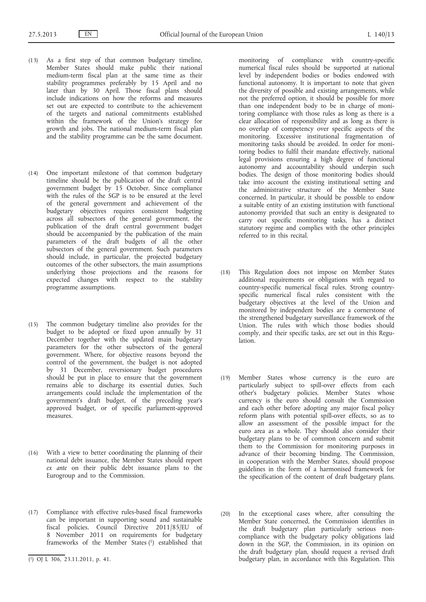- (13) As a first step of that common budgetary timeline, Member States should make public their national medium-term fiscal plan at the same time as their stability programmes preferably by 15 April and no later than by 30 April. Those fiscal plans should include indications on how the reforms and measures set out are expected to contribute to the achievement of the targets and national commitments established within the framework of the Union's strategy for growth and jobs. The national medium-term fiscal plan and the stability programme can be the same document.
- (14) One important milestone of that common budgetary timeline should be the publication of the draft central government budget by 15 October. Since compliance with the rules of the SGP is to be ensured at the level of the general government and achievement of the budgetary objectives requires consistent budgeting across all subsectors of the general government, the publication of the draft central government budget should be accompanied by the publication of the main parameters of the draft budgets of all the other subsectors of the general government. Such parameters should include, in particular, the projected budgetary outcomes of the other subsectors, the main assumptions underlying those projections and the reasons for expected changes with respect to the stability programme assumptions.
- (15) The common budgetary timeline also provides for the budget to be adopted or fixed upon annually by 31 December together with the updated main budgetary parameters for the other subsectors of the general government. Where, for objective reasons beyond the control of the government, the budget is not adopted by 31 December, reversionary budget procedures should be put in place to ensure that the government remains able to discharge its essential duties. Such arrangements could include the implementation of the government's draft budget, of the preceding year's approved budget, or of specific parliament-approved measures.
- (16) With a view to better coordinating the planning of their national debt issuance, the Member States should report *ex ante* on their public debt issuance plans to the Eurogroup and to the Commission.
- (17) Compliance with effective rules-based fiscal frameworks can be important in supporting sound and sustainable fiscal policies. Council Directive 2011/85/EU of 8 November 2011 on requirements for budgetary frameworks of the Member States (1) established that

monitoring of compliance with country-specific numerical fiscal rules should be supported at national level by independent bodies or bodies endowed with functional autonomy. It is important to note that given the diversity of possible and existing arrangements, while not the preferred option, it should be possible for more than one independent body to be in charge of monitoring compliance with those rules as long as there is a clear allocation of responsibility and as long as there is no overlap of competency over specific aspects of the monitoring. Excessive institutional fragmentation of monitoring tasks should be avoided. In order for monitoring bodies to fulfil their mandate effectively, national legal provisions ensuring a high degree of functional autonomy and accountability should underpin such bodies. The design of those monitoring bodies should take into account the existing institutional setting and the administrative structure of the Member State concerned. In particular, it should be possible to endow a suitable entity of an existing institution with functional autonomy provided that such an entity is designated to carry out specific monitoring tasks, has a distinct statutory regime and complies with the other principles referred to in this recital.

- (18) This Regulation does not impose on Member States additional requirements or obligations with regard to country-specific numerical fiscal rules. Strong countryspecific numerical fiscal rules consistent with the budgetary objectives at the level of the Union and monitored by independent bodies are a cornerstone of the strengthened budgetary surveillance framework of the Union. The rules with which those bodies should comply, and their specific tasks, are set out in this Regulation.
- (19) Member States whose currency is the euro are particularly subject to spill-over effects from each other's budgetary policies. Member States whose currency is the euro should consult the Commission and each other before adopting any major fiscal policy reform plans with potential spill-over effects, so as to allow an assessment of the possible impact for the euro area as a whole. They should also consider their budgetary plans to be of common concern and submit them to the Commission for monitoring purposes in advance of their becoming binding. The Commission, in cooperation with the Member States, should propose guidelines in the form of a harmonised framework for the specification of the content of draft budgetary plans.
- (20) In the exceptional cases where, after consulting the Member State concerned, the Commission identifies in the draft budgetary plan particularly serious noncompliance with the budgetary policy obligations laid down in the SGP, the Commission, in its opinion on the draft budgetary plan, should request a revised draft budgetary plan, in accordance with this Regulation. This

<sup>(</sup> 1) OJ L 306, 23.11.2011, p. 41.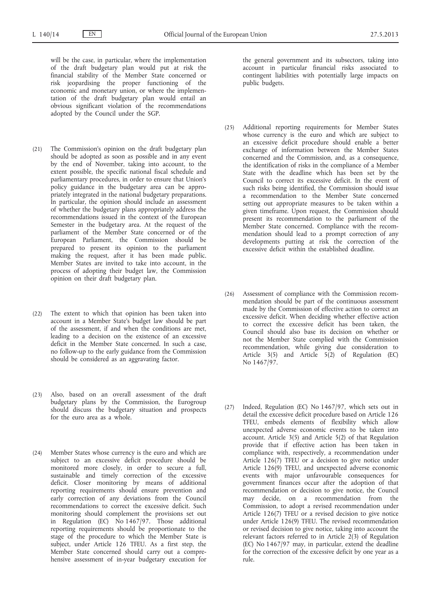will be the case, in particular, where the implementation of the draft budgetary plan would put at risk the financial stability of the Member State concerned or risk jeopardising the proper functioning of the economic and monetary union, or where the implementation of the draft budgetary plan would entail an obvious significant violation of the recommendations adopted by the Council under the SGP.

- (21) The Commission's opinion on the draft budgetary plan should be adopted as soon as possible and in any event by the end of November, taking into account, to the extent possible, the specific national fiscal schedule and parliamentary procedures, in order to ensure that Union's policy guidance in the budgetary area can be appropriately integrated in the national budgetary preparations. In particular, the opinion should include an assessment of whether the budgetary plans appropriately address the recommendations issued in the context of the European Semester in the budgetary area. At the request of the parliament of the Member State concerned or of the European Parliament, the Commission should be prepared to present its opinion to the parliament making the request, after it has been made public. Member States are invited to take into account, in the process of adopting their budget law, the Commission opinion on their draft budgetary plan.
- (22) The extent to which that opinion has been taken into account in a Member State's budget law should be part of the assessment, if and when the conditions are met, leading to a decision on the existence of an excessive deficit in the Member State concerned. In such a case, no follow-up to the early guidance from the Commission should be considered as an aggravating factor.
- (23) Also, based on an overall assessment of the draft budgetary plans by the Commission, the Eurogroup should discuss the budgetary situation and prospects for the euro area as a whole.
- (24) Member States whose currency is the euro and which are subject to an excessive deficit procedure should be monitored more closely, in order to secure a full, sustainable and timely correction of the excessive deficit. Closer monitoring by means of additional reporting requirements should ensure prevention and early correction of any deviations from the Council recommendations to correct the excessive deficit. Such monitoring should complement the provisions set out in Regulation (EC) No 1467/97. Those additional reporting requirements should be proportionate to the stage of the procedure to which the Member State is subject, under Article 126 TFEU. As a first step, the Member State concerned should carry out a comprehensive assessment of in-year budgetary execution for

the general government and its subsectors, taking into account in particular financial risks associated to contingent liabilities with potentially large impacts on public budgets.

- (25) Additional reporting requirements for Member States whose currency is the euro and which are subject to an excessive deficit procedure should enable a better exchange of information between the Member States concerned and the Commission, and, as a consequence, the identification of risks in the compliance of a Member State with the deadline which has been set by the Council to correct its excessive deficit. In the event of such risks being identified, the Commission should issue a recommendation to the Member State concerned setting out appropriate measures to be taken within a given timeframe. Upon request, the Commission should present its recommendation to the parliament of the Member State concerned. Compliance with the recommendation should lead to a prompt correction of any developments putting at risk the correction of the excessive deficit within the established deadline.
- (26) Assessment of compliance with the Commission recommendation should be part of the continuous assessment made by the Commission of effective action to correct an excessive deficit. When deciding whether effective action to correct the excessive deficit has been taken, the Council should also base its decision on whether or not the Member State complied with the Commission recommendation, while giving due consideration to Article 3(5) and Article 5(2) of Regulation (EC) No 1467/97.
- (27) Indeed, Regulation (EC) No 1467/97, which sets out in detail the excessive deficit procedure based on Article 126 TFEU, embeds elements of flexibility which allow unexpected adverse economic events to be taken into account. Article 3(5) and Article 5(2) of that Regulation provide that if effective action has been taken in compliance with, respectively, a recommendation under Article  $126(7)$  TFEU or a decision to give notice under Article 126(9) TFEU, and unexpected adverse economic events with major unfavourable consequences for government finances occur after the adoption of that recommendation or decision to give notice, the Council may decide, on a recommendation from the Commission, to adopt a revised recommendation under Article 126(7) TFEU or a revised decision to give notice under Article 126(9) TFEU. The revised recommendation or revised decision to give notice, taking into account the relevant factors referred to in Article 2(3) of Regulation (EC) No 1467/97 may, in particular, extend the deadline for the correction of the excessive deficit by one year as a rule.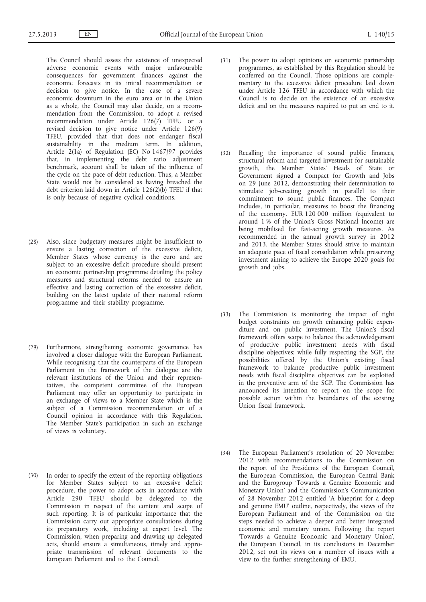The Council should assess the existence of unexpected adverse economic events with major unfavourable consequences for government finances against the economic forecasts in its initial recommendation or decision to give notice. In the case of a severe economic downturn in the euro area or in the Union as a whole, the Council may also decide, on a recommendation from the Commission, to adopt a revised recommendation under Article 126(7) TFEU or a revised decision to give notice under Article 126(9) TFEU, provided that that does not endanger fiscal sustainability in the medium term. In addition, Article 2(1a) of Regulation (EC) No 1467/97 provides that, in implementing the debt ratio adjustment benchmark, account shall be taken of the influence of the cycle on the pace of debt reduction. Thus, a Member State would not be considered as having breached the debt criterion laid down in Article  $126(2)(b)$  TFEU if that is only because of negative cyclical conditions.

- (28) Also, since budgetary measures might be insufficient to ensure a lasting correction of the excessive deficit, Member States whose currency is the euro and are subject to an excessive deficit procedure should present an economic partnership programme detailing the policy measures and structural reforms needed to ensure an effective and lasting correction of the excessive deficit, building on the latest update of their national reform programme and their stability programme.
- (29) Furthermore, strengthening economic governance has involved a closer dialogue with the European Parliament. While recognising that the counterparts of the European Parliament in the framework of the dialogue are the relevant institutions of the Union and their representatives, the competent committee of the European Parliament may offer an opportunity to participate in an exchange of views to a Member State which is the subject of a Commission recommendation or of a Council opinion in accordance with this Regulation. The Member State's participation in such an exchange of views is voluntary.
- (30) In order to specify the extent of the reporting obligations for Member States subject to an excessive deficit procedure, the power to adopt acts in accordance with Article 290 TFEU should be delegated to the Commission in respect of the content and scope of such reporting. It is of particular importance that the Commission carry out appropriate consultations during its preparatory work, including at expert level. The Commission, when preparing and drawing up delegated acts, should ensure a simultaneous, timely and appropriate transmission of relevant documents to the European Parliament and to the Council.
- (31) The power to adopt opinions on economic partnership programmes, as established by this Regulation should be conferred on the Council. Those opinions are complementary to the excessive deficit procedure laid down under Article 126 TFEU in accordance with which the Council is to decide on the existence of an excessive deficit and on the measures required to put an end to it.
- (32) Recalling the importance of sound public finances, structural reform and targeted investment for sustainable growth, the Member States' Heads of State or Government signed a Compact for Growth and Jobs on 29 June 2012, demonstrating their determination to stimulate job-creating growth in parallel to their commitment to sound public finances. The Compact includes, in particular, measures to boost the financing of the economy. EUR 120 000 million (equivalent to around 1 % of the Union's Gross National Income) are being mobilised for fast-acting growth measures. As recommended in the annual growth survey in 2012 and 2013, the Member States should strive to maintain an adequate pace of fiscal consolidation while preserving investment aiming to achieve the Europe 2020 goals for growth and jobs.
- (33) The Commission is monitoring the impact of tight budget constraints on growth enhancing public expenditure and on public investment. The Union's fiscal framework offers scope to balance the acknowledgement of productive public investment needs with fiscal discipline objectives: while fully respecting the SGP, the possibilities offered by the Union's existing fiscal framework to balance productive public investment needs with fiscal discipline objectives can be exploited in the preventive arm of the SGP. The Commission has announced its intention to report on the scope for possible action within the boundaries of the existing Union fiscal framework.
- (34) The European Parliament's resolution of 20 November 2012 with recommendations to the Commission on the report of the Presidents of the European Council, the European Commission, the European Central Bank and the Eurogroup 'Towards a Genuine Economic and Monetary Union' and the Commission's Communication of 28 November 2012 entitled 'A blueprint for a deep and genuine EMU' outline, respectively, the views of the European Parliament and of the Commission on the steps needed to achieve a deeper and better integrated economic and monetary union. Following the report 'Towards a Genuine Economic and Monetary Union', the European Council, in its conclusions in December 2012, set out its views on a number of issues with a view to the further strengthening of EMU,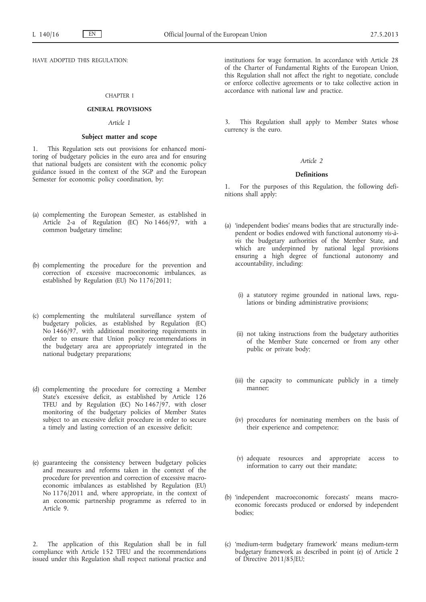HAVE ADOPTED THIS REGULATION:

## CHAPTER I

## **GENERAL PROVISIONS**

# *Article 1*

### **Subject matter and scope**

1. This Regulation sets out provisions for enhanced monitoring of budgetary policies in the euro area and for ensuring that national budgets are consistent with the economic policy guidance issued in the context of the SGP and the European Semester for economic policy coordination, by:

- (a) complementing the European Semester, as established in Article 2-a of Regulation (EC) No 1466/97, with a common budgetary timeline;
- (b) complementing the procedure for the prevention and correction of excessive macroeconomic imbalances, as established by Regulation (EU) No 1176/2011;
- (c) complementing the multilateral surveillance system of budgetary policies, as established by Regulation (EC) No 1466/97, with additional monitoring requirements in order to ensure that Union policy recommendations in the budgetary area are appropriately integrated in the national budgetary preparations;
- (d) complementing the procedure for correcting a Member State's excessive deficit, as established by Article 126 TFEU and by Regulation (EC) No 1467/97, with closer monitoring of the budgetary policies of Member States subject to an excessive deficit procedure in order to secure a timely and lasting correction of an excessive deficit;
- (e) guaranteeing the consistency between budgetary policies and measures and reforms taken in the context of the procedure for prevention and correction of excessive macroeconomic imbalances as established by Regulation (EU) No 1176/2011 and, where appropriate, in the context of an economic partnership programme as referred to in Article 9.

2. The application of this Regulation shall be in full compliance with Article 152 TFEU and the recommendations issued under this Regulation shall respect national practice and institutions for wage formation. In accordance with Article 28 of the Charter of Fundamental Rights of the European Union, this Regulation shall not affect the right to negotiate, conclude or enforce collective agreements or to take collective action in accordance with national law and practice.

3. This Regulation shall apply to Member States whose currency is the euro.

# *Article 2*

# **Definitions**

1. For the purposes of this Regulation, the following definitions shall apply:

- (a) 'independent bodies' means bodies that are structurally independent or bodies endowed with functional autonomy *vis-àvis* the budgetary authorities of the Member State, and which are underpinned by national legal provisions ensuring a high degree of functional autonomy and accountability, including:
	- (i) a statutory regime grounded in national laws, regulations or binding administrative provisions;
	- (ii) not taking instructions from the budgetary authorities of the Member State concerned or from any other public or private body;
	- (iii) the capacity to communicate publicly in a timely manner;
	- (iv) procedures for nominating members on the basis of their experience and competence;
	- (v) adequate resources and appropriate access to information to carry out their mandate;
- (b) 'independent macroeconomic forecasts' means macroeconomic forecasts produced or endorsed by independent bodies;
- (c) 'medium-term budgetary framework' means medium-term budgetary framework as described in point (e) of Article 2 of Directive 2011/85/EU;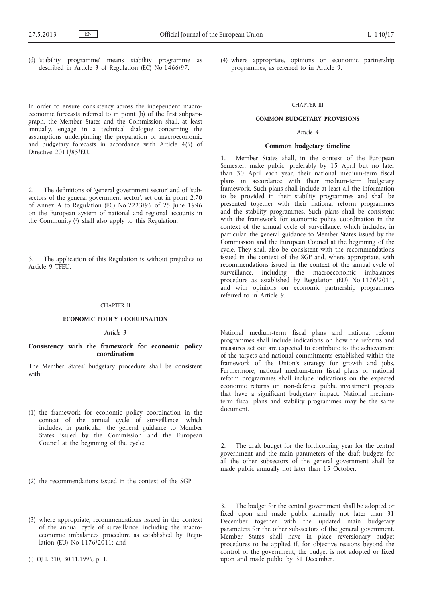(d) 'stability programme' means stability programme as described in Article 3 of Regulation (EC) No 1466/97.

In order to ensure consistency across the independent macroeconomic forecasts referred to in point (b) of the first subparagraph, the Member States and the Commission shall, at least annually, engage in a technical dialogue concerning the assumptions underpinning the preparation of macroeconomic and budgetary forecasts in accordance with Article 4(5) of Directive 2011/85/EU.

2. The definitions of 'general government sector' and of 'subsectors of the general government sector', set out in point 2.70 of Annex A to Regulation (EC) No 2223/96 of 25 June 1996 on the European system of national and regional accounts in the Community (1) shall also apply to this Regulation.

3. The application of this Regulation is without prejudice to Article 9 TFEU.

### CHAPTER II

### **ECONOMIC POLICY COORDINATION**

### *Article 3*

# **Consistency with the framework for economic policy coordination**

The Member States' budgetary procedure shall be consistent with:

- (1) the framework for economic policy coordination in the context of the annual cycle of surveillance, which includes, in particular, the general guidance to Member States issued by the Commission and the European Council at the beginning of the cycle;
- (2) the recommendations issued in the context of the SGP;
- (3) where appropriate, recommendations issued in the context of the annual cycle of surveillance, including the macroeconomic imbalances procedure as established by Regulation (EU) No 1176/2011; and

(4) where appropriate, opinions on economic partnership programmes, as referred to in Article 9.

# CHAPTER III

### **COMMON BUDGETARY PROVISIONS**

# *Article 4*

#### **Common budgetary timeline**

1. Member States shall, in the context of the European Semester, make public, preferably by 15 April but no later than 30 April each year, their national medium-term fiscal plans in accordance with their medium-term budgetary framework. Such plans shall include at least all the information to be provided in their stability programmes and shall be presented together with their national reform programmes and the stability programmes. Such plans shall be consistent with the framework for economic policy coordination in the context of the annual cycle of surveillance, which includes, in particular, the general guidance to Member States issued by the Commission and the European Council at the beginning of the cycle. They shall also be consistent with the recommendations issued in the context of the SGP and, where appropriate, with recommendations issued in the context of the annual cycle of surveillance, including the macroeconomic imbalances procedure as established by Regulation (EU) No 1176/2011, and with opinions on economic partnership programmes referred to in Article 9.

National medium-term fiscal plans and national reform programmes shall include indications on how the reforms and measures set out are expected to contribute to the achievement of the targets and national commitments established within the framework of the Union's strategy for growth and jobs. Furthermore, national medium-term fiscal plans or national reform programmes shall include indications on the expected economic returns on non-defence public investment projects that have a significant budgetary impact. National mediumterm fiscal plans and stability programmes may be the same document.

2. The draft budget for the forthcoming year for the central government and the main parameters of the draft budgets for all the other subsectors of the general government shall be made public annually not later than 15 October.

3. The budget for the central government shall be adopted or fixed upon and made public annually not later than 31 December together with the updated main budgetary parameters for the other sub-sectors of the general government. Member States shall have in place reversionary budget procedures to be applied if, for objective reasons beyond the control of the government, the budget is not adopted or fixed upon and made public by 31 December.

<sup>(</sup> 1) OJ L 310, 30.11.1996, p. 1.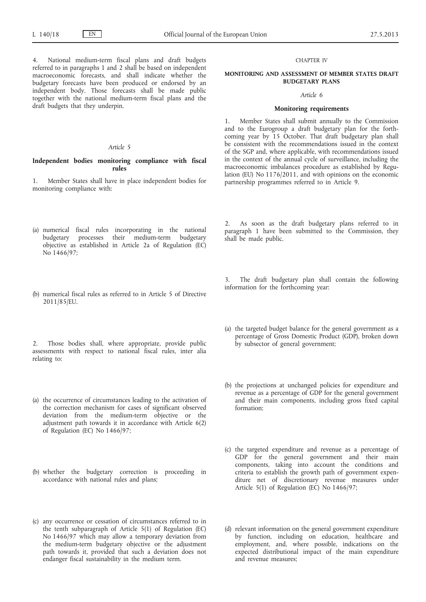4. National medium-term fiscal plans and draft budgets referred to in paragraphs 1 and 2 shall be based on independent macroeconomic forecasts, and shall indicate whether the budgetary forecasts have been produced or endorsed by an independent body. Those forecasts shall be made public together with the national medium-term fiscal plans and the draft budgets that they underpin.

# *Article 5*

**Independent bodies monitoring compliance with fiscal rules**

1. Member States shall have in place independent bodies for monitoring compliance with:

- (a) numerical fiscal rules incorporating in the national budgetary processes their medium-term budgetary objective as established in Article 2a of Regulation (EC) No 1466/97;
- (b) numerical fiscal rules as referred to in Article 5 of Directive 2011/85/EU.

2. Those bodies shall, where appropriate, provide public assessments with respect to national fiscal rules, inter alia relating to:

- (a) the occurrence of circumstances leading to the activation of the correction mechanism for cases of significant observed deviation from the medium-term objective or the adjustment path towards it in accordance with Article 6(2) of Regulation (EC) No 1466/97;
- (b) whether the budgetary correction is proceeding in accordance with national rules and plans;
- (c) any occurrence or cessation of circumstances referred to in the tenth subparagraph of Article 5(1) of Regulation (EC) No 1466/97 which may allow a temporary deviation from the medium-term budgetary objective or the adjustment path towards it, provided that such a deviation does not endanger fiscal sustainability in the medium term.

### CHAPTER IV

## **MONITORING AND ASSESSMENT OF MEMBER STATES DRAFT BUDGETARY PLANS**

#### *Article 6*

### **Monitoring requirements**

1. Member States shall submit annually to the Commission and to the Eurogroup a draft budgetary plan for the forthcoming year by 15 October. That draft budgetary plan shall be consistent with the recommendations issued in the context of the SGP and, where applicable, with recommendations issued in the context of the annual cycle of surveillance, including the macroeconomic imbalances procedure as established by Regulation (EU) No 1176/2011, and with opinions on the economic partnership programmes referred to in Article 9.

2. As soon as the draft budgetary plans referred to in paragraph 1 have been submitted to the Commission, they shall be made public.

The draft budgetary plan shall contain the following information for the forthcoming year:

- (a) the targeted budget balance for the general government as a percentage of Gross Domestic Product (GDP), broken down by subsector of general government;
- (b) the projections at unchanged policies for expenditure and revenue as a percentage of GDP for the general government and their main components, including gross fixed capital formation;
- (c) the targeted expenditure and revenue as a percentage of GDP for the general government and their main components, taking into account the conditions and criteria to establish the growth path of government expenditure net of discretionary revenue measures under Article 5(1) of Regulation (EC) No 1466/97;
- (d) relevant information on the general government expenditure by function, including on education, healthcare and employment, and, where possible, indications on the expected distributional impact of the main expenditure and revenue measures;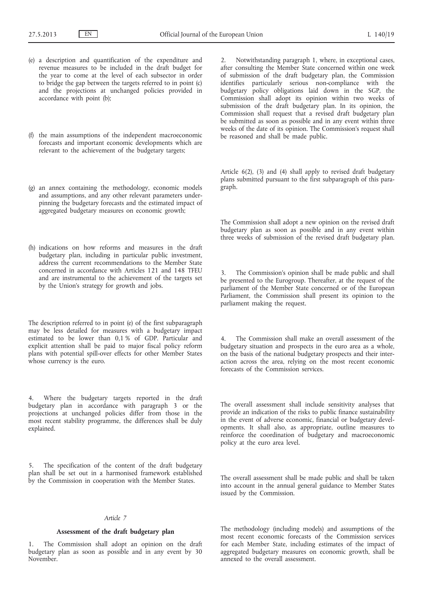- (e) a description and quantification of the expenditure and revenue measures to be included in the draft budget for the year to come at the level of each subsector in order to bridge the gap between the targets referred to in point (c) and the projections at unchanged policies provided in accordance with point (b);
- (f) the main assumptions of the independent macroeconomic forecasts and important economic developments which are relevant to the achievement of the budgetary targets;
- (g) an annex containing the methodology, economic models and assumptions, and any other relevant parameters underpinning the budgetary forecasts and the estimated impact of aggregated budgetary measures on economic growth;
- (h) indications on how reforms and measures in the draft budgetary plan, including in particular public investment, address the current recommendations to the Member State concerned in accordance with Articles 121 and 148 TFEU and are instrumental to the achievement of the targets set by the Union's strategy for growth and jobs.

The description referred to in point (e) of the first subparagraph may be less detailed for measures with a budgetary impact estimated to be lower than 0,1 % of GDP. Particular and explicit attention shall be paid to major fiscal policy reform plans with potential spill-over effects for other Member States whose currency is the euro.

4. Where the budgetary targets reported in the draft budgetary plan in accordance with paragraph 3 or the projections at unchanged policies differ from those in the most recent stability programme, the differences shall be duly explained.

5. The specification of the content of the draft budgetary plan shall be set out in a harmonised framework established by the Commission in cooperation with the Member States.

### *Article 7*

### **Assessment of the draft budgetary plan**

1. The Commission shall adopt an opinion on the draft budgetary plan as soon as possible and in any event by 30 November.

2. Notwithstanding paragraph 1, where, in exceptional cases, after consulting the Member State concerned within one week of submission of the draft budgetary plan, the Commission identifies particularly serious non-compliance with the budgetary policy obligations laid down in the SGP, the Commission shall adopt its opinion within two weeks of submission of the draft budgetary plan. In its opinion, the Commission shall request that a revised draft budgetary plan be submitted as soon as possible and in any event within three weeks of the date of its opinion. The Commission's request shall be reasoned and shall be made public.

Article 6(2), (3) and (4) shall apply to revised draft budgetary plans submitted pursuant to the first subparagraph of this paragraph.

The Commission shall adopt a new opinion on the revised draft budgetary plan as soon as possible and in any event within three weeks of submission of the revised draft budgetary plan.

3. The Commission's opinion shall be made public and shall be presented to the Eurogroup. Thereafter, at the request of the parliament of the Member State concerned or of the European Parliament, the Commission shall present its opinion to the parliament making the request.

The Commission shall make an overall assessment of the budgetary situation and prospects in the euro area as a whole, on the basis of the national budgetary prospects and their interaction across the area, relying on the most recent economic forecasts of the Commission services.

The overall assessment shall include sensitivity analyses that provide an indication of the risks to public finance sustainability in the event of adverse economic, financial or budgetary developments. It shall also, as appropriate, outline measures to reinforce the coordination of budgetary and macroeconomic policy at the euro area level.

The overall assessment shall be made public and shall be taken into account in the annual general guidance to Member States issued by the Commission.

The methodology (including models) and assumptions of the most recent economic forecasts of the Commission services for each Member State, including estimates of the impact of aggregated budgetary measures on economic growth, shall be annexed to the overall assessment.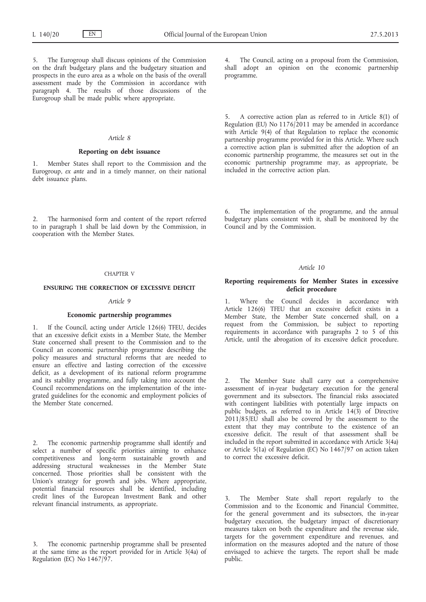5. The Eurogroup shall discuss opinions of the Commission on the draft budgetary plans and the budgetary situation and prospects in the euro area as a whole on the basis of the overall assessment made by the Commission in accordance with paragraph 4. The results of those discussions of the Eurogroup shall be made public where appropriate.

## *Article 8*

### **Reporting on debt issuance**

Member States shall report to the Commission and the Eurogroup, *ex ante* and in a timely manner, on their national debt issuance plans.

2. The harmonised form and content of the report referred to in paragraph 1 shall be laid down by the Commission, in cooperation with the Member States.

# CHAPTER V

# **ENSURING THE CORRECTION OF EXCESSIVE DEFICIT**

# *Article 9*

### **Economic partnership programmes**

1. If the Council, acting under Article 126(6) TFEU, decides that an excessive deficit exists in a Member State, the Member State concerned shall present to the Commission and to the Council an economic partnership programme describing the policy measures and structural reforms that are needed to ensure an effective and lasting correction of the excessive deficit, as a development of its national reform programme and its stability programme, and fully taking into account the Council recommendations on the implementation of the integrated guidelines for the economic and employment policies of the Member State concerned.

2. The economic partnership programme shall identify and select a number of specific priorities aiming to enhance competitiveness and long-term sustainable growth and addressing structural weaknesses in the Member State concerned. Those priorities shall be consistent with the Union's strategy for growth and jobs. Where appropriate, potential financial resources shall be identified, including credit lines of the European Investment Bank and other relevant financial instruments, as appropriate.

The economic partnership programme shall be presented at the same time as the report provided for in Article 3(4a) of Regulation (EC) No 1467/97.

4. The Council, acting on a proposal from the Commission, shall adopt an opinion on the economic partnership programme.

5. A corrective action plan as referred to in Article 8(1) of Regulation (EU) No 1176/2011 may be amended in accordance with Article 9(4) of that Regulation to replace the economic partnership programme provided for in this Article. Where such a corrective action plan is submitted after the adoption of an economic partnership programme, the measures set out in the economic partnership programme may, as appropriate, be included in the corrective action plan.

6. The implementation of the programme, and the annual budgetary plans consistent with it, shall be monitored by the Council and by the Commission.

### *Article 10*

# **Reporting requirements for Member States in excessive deficit procedure**

1. Where the Council decides in accordance with Article 126(6) TFEU that an excessive deficit exists in a Member State, the Member State concerned shall, on a request from the Commission, be subject to reporting requirements in accordance with paragraphs 2 to 5 of this Article, until the abrogation of its excessive deficit procedure.

The Member State shall carry out a comprehensive assessment of in-year budgetary execution for the general government and its subsectors. The financial risks associated with contingent liabilities with potentially large impacts on public budgets, as referred to in Article 14(3) of Directive  $2011/85/EU$  shall also be covered by the assessment to the extent that they may contribute to the existence of an excessive deficit. The result of that assessment shall be included in the report submitted in accordance with Article 3(4a) or Article 5(1a) of Regulation (EC) No 1467/97 on action taken to correct the excessive deficit.

3. The Member State shall report regularly to the Commission and to the Economic and Financial Committee, for the general government and its subsectors, the in-year budgetary execution, the budgetary impact of discretionary measures taken on both the expenditure and the revenue side, targets for the government expenditure and revenues, and information on the measures adopted and the nature of those envisaged to achieve the targets. The report shall be made public.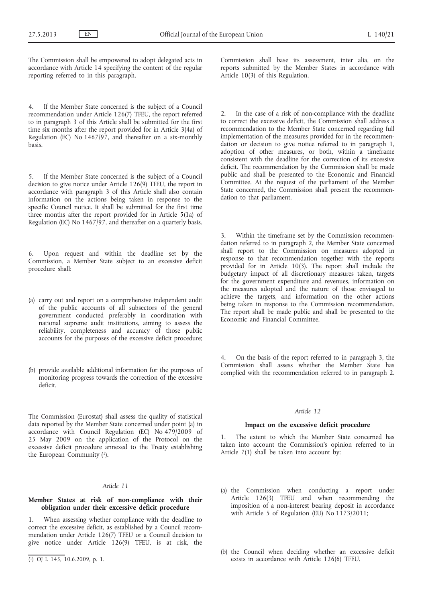The Commission shall be empowered to adopt delegated acts in accordance with Article 14 specifying the content of the regular reporting referred to in this paragraph.

4. If the Member State concerned is the subject of a Council recommendation under Article 126(7) TFEU, the report referred to in paragraph 3 of this Article shall be submitted for the first time six months after the report provided for in Article 3(4a) of Regulation (EC) No  $1467/97$ , and thereafter on a six-monthly basis.

If the Member State concerned is the subject of a Council decision to give notice under Article 126(9) TFEU, the report in accordance with paragraph 3 of this Article shall also contain information on the actions being taken in response to the specific Council notice. It shall be submitted for the first time three months after the report provided for in Article 5(1a) of Regulation (EC) No 1467/97, and thereafter on a quarterly basis.

6. Upon request and within the deadline set by the Commission, a Member State subject to an excessive deficit procedure shall:

- (a) carry out and report on a comprehensive independent audit of the public accounts of all subsectors of the general government conducted preferably in coordination with national supreme audit institutions, aiming to assess the reliability, completeness and accuracy of those public accounts for the purposes of the excessive deficit procedure;
- (b) provide available additional information for the purposes of monitoring progress towards the correction of the excessive deficit.

The Commission (Eurostat) shall assess the quality of statistical data reported by the Member State concerned under point (a) in accordance with Council Regulation (EC) No 479/2009 of 25 May 2009 on the application of the Protocol on the excessive deficit procedure annexed to the Treaty establishing the European Community (1).

# *Article 11*

# **Member States at risk of non-compliance with their obligation under their excessive deficit procedure**

1. When assessing whether compliance with the deadline to correct the excessive deficit, as established by a Council recommendation under Article 126(7) TFEU or a Council decision to give notice under Article 126(9) TFEU, is at risk, the

Commission shall base its assessment, inter alia, on the reports submitted by the Member States in accordance with Article 10(3) of this Regulation.

2. In the case of a risk of non-compliance with the deadline to correct the excessive deficit, the Commission shall address a recommendation to the Member State concerned regarding full implementation of the measures provided for in the recommendation or decision to give notice referred to in paragraph 1, adoption of other measures, or both, within a timeframe consistent with the deadline for the correction of its excessive deficit. The recommendation by the Commission shall be made public and shall be presented to the Economic and Financial Committee. At the request of the parliament of the Member State concerned, the Commission shall present the recommendation to that parliament.

Within the timeframe set by the Commission recommendation referred to in paragraph 2, the Member State concerned shall report to the Commission on measures adopted in response to that recommendation together with the reports provided for in Article 10(3). The report shall include the budgetary impact of all discretionary measures taken, targets for the government expenditure and revenues, information on the measures adopted and the nature of those envisaged to achieve the targets, and information on the other actions being taken in response to the Commission recommendation. The report shall be made public and shall be presented to the Economic and Financial Committee.

4. On the basis of the report referred to in paragraph 3, the Commission shall assess whether the Member State has complied with the recommendation referred to in paragraph 2.

#### *Article 12*

### **Impact on the excessive deficit procedure**

1. The extent to which the Member State concerned has taken into account the Commission's opinion referred to in Article  $7(1)$  shall be taken into account by:

- (a) the Commission when conducting a report under Article 126(3) TFEU and when recommending the imposition of a non-interest bearing deposit in accordance with Article 5 of Regulation (EU) No  $1173/2011$ ;
- (b) the Council when deciding whether an excessive deficit exists in accordance with Article 126(6) TFEU.

<sup>(</sup> 1) OJ L 145, 10.6.2009, p. 1.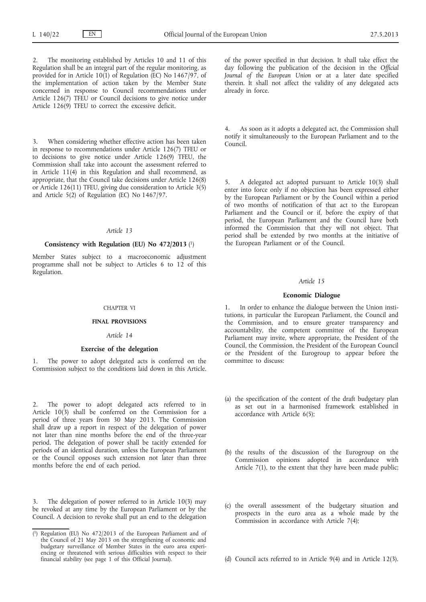The monitoring established by Articles 10 and 11 of this Regulation shall be an integral part of the regular monitoring, as provided for in Article 10(1) of Regulation (EC) No 1467/97, of the implementation of action taken by the Member State concerned in response to Council recommendations under Article 126(7) TFEU or Council decisions to give notice under Article 126(9) TFEU to correct the excessive deficit.

3. When considering whether effective action has been taken in response to recommendations under Article 126(7) TFEU or to decisions to give notice under Article 126(9) TFEU, the Commission shall take into account the assessment referred to in Article 11(4) in this Regulation and shall recommend, as appropriate, that the Council take decisions under Article 126(8) or Article 126(11) TFEU, giving due consideration to Article 3(5) and Article 5(2) of Regulation (EC) No 1467/97.

# *Article 13*

### **Consistency with Regulation (EU) No 472/2013** (1)

Member States subject to a macroeconomic adjustment programme shall not be subject to Articles 6 to 12 of this Regulation.

### CHAPTER VI

### **FINAL PROVISIONS**

### *Article 14*

### **Exercise of the delegation**

1. The power to adopt delegated acts is conferred on the Commission subject to the conditions laid down in this Article.

2. The power to adopt delegated acts referred to in Article  $10(3)$  shall be conferred on the Commission for a period of three years from 30 May 2013. The Commission shall draw up a report in respect of the delegation of power not later than nine months before the end of the three-year period. The delegation of power shall be tacitly extended for periods of an identical duration, unless the European Parliament or the Council opposes such extension not later than three months before the end of each period.

3. The delegation of power referred to in Article 10(3) may be revoked at any time by the European Parliament or by the Council. A decision to revoke shall put an end to the delegation of the power specified in that decision. It shall take effect the day following the publication of the decision in the *Official Journal of the European Union* or at a later date specified therein. It shall not affect the validity of any delegated acts already in force.

4. As soon as it adopts a delegated act, the Commission shall notify it simultaneously to the European Parliament and to the Council.

5. A delegated act adopted pursuant to Article 10(3) shall enter into force only if no objection has been expressed either by the European Parliament or by the Council within a period of two months of notification of that act to the European Parliament and the Council or if, before the expiry of that period, the European Parliament and the Council have both informed the Commission that they will not object. That period shall be extended by two months at the initiative of the European Parliament or of the Council.

#### *Article 15*

### **Economic Dialogue**

1. In order to enhance the dialogue between the Union institutions, in particular the European Parliament, the Council and the Commission, and to ensure greater transparency and accountability, the competent committee of the European Parliament may invite, where appropriate, the President of the Council, the Commission, the President of the European Council or the President of the Eurogroup to appear before the committee to discuss:

- (a) the specification of the content of the draft budgetary plan as set out in a harmonised framework established in accordance with Article 6(5);
- (b) the results of the discussion of the Eurogroup on the Commission opinions adopted in accordance with Article 7(1), to the extent that they have been made public;
- (c) the overall assessment of the budgetary situation and prospects in the euro area as a whole made by the Commission in accordance with Article 7(4);
- (d) Council acts referred to in Article 9(4) and in Article 12(3).

<sup>(</sup> 1) Regulation (EU) No 472/2013 of the European Parliament and of the Council of 21 May 2013 on the strengthening of economic and budgetary surveillance of Member States in the euro area experiencing or threatened with serious difficulties with respect to their financial stability (see page 1 of this Official Journal).